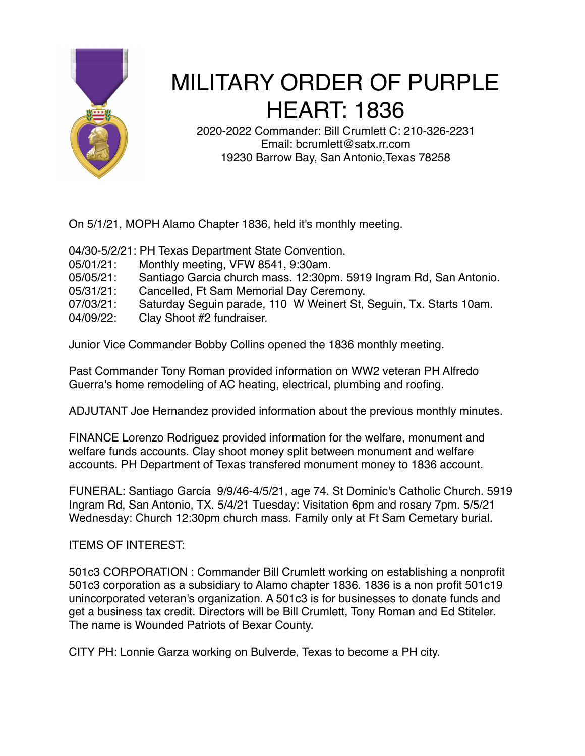

## MILITARY ORDER OF PURPLE HEART: 1836

2020-2022 Commander: Bill Crumlett C: 210-326-2231 Email: bcrumlett@satx.rr.com 19230 Barrow Bay, San Antonio,Texas 78258

On 5/1/21, MOPH Alamo Chapter 1836, held it's monthly meeting.

04/30-5/2/21: PH Texas Department State Convention.

- 05/01/21: Monthly meeting, VFW 8541, 9:30am.
- 05/05/21: Santiago Garcia church mass. 12:30pm. 5919 Ingram Rd, San Antonio.
- 05/31/21: Cancelled, Ft Sam Memorial Day Ceremony.

07/03/21: Saturday Seguin parade, 110 W Weinert St, Seguin, Tx. Starts 10am.

04/09/22: Clay Shoot #2 fundraiser.

Junior Vice Commander Bobby Collins opened the 1836 monthly meeting.

Past Commander Tony Roman provided information on WW2 veteran PH Alfredo Guerra's home remodeling of AC heating, electrical, plumbing and roofing.

ADJUTANT Joe Hernandez provided information about the previous monthly minutes.

FINANCE Lorenzo Rodriguez provided information for the welfare, monument and welfare funds accounts. Clay shoot money split between monument and welfare accounts. PH Department of Texas transfered monument money to 1836 account.

FUNERAL: Santiago Garcia 9/9/46-4/5/21, age 74. St Dominic's Catholic Church. 5919 Ingram Rd, San Antonio, TX. 5/4/21 Tuesday: Visitation 6pm and rosary 7pm. 5/5/21 Wednesday: Church 12:30pm church mass. Family only at Ft Sam Cemetary burial.

ITEMS OF INTEREST:

501c3 CORPORATION : Commander Bill Crumlett working on establishing a nonprofit 501c3 corporation as a subsidiary to Alamo chapter 1836. 1836 is a non profit 501c19 unincorporated veteran's organization. A 501c3 is for businesses to donate funds and get a business tax credit. Directors will be Bill Crumlett, Tony Roman and Ed Stiteler. The name is Wounded Patriots of Bexar County.

CITY PH: Lonnie Garza working on Bulverde, Texas to become a PH city.